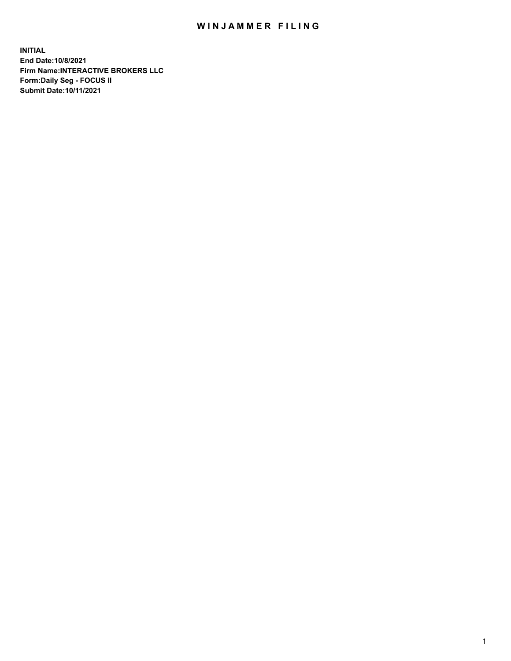## WIN JAMMER FILING

**INITIAL End Date:10/8/2021 Firm Name:INTERACTIVE BROKERS LLC Form:Daily Seg - FOCUS II Submit Date:10/11/2021**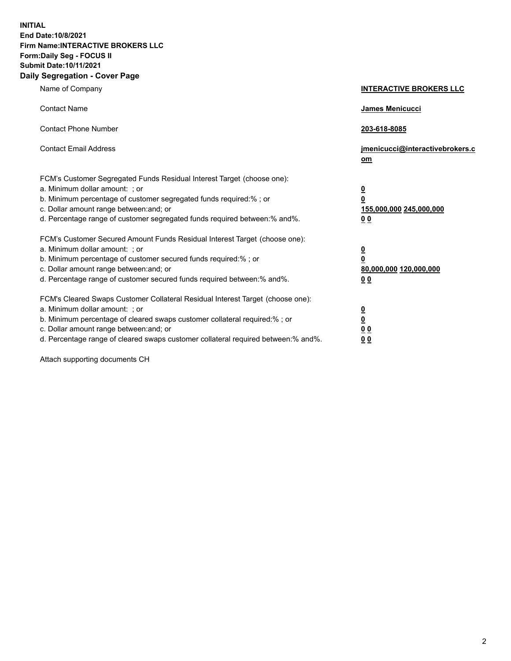**INITIAL End Date:10/8/2021 Firm Name:INTERACTIVE BROKERS LLC Form:Daily Seg - FOCUS II Submit Date:10/11/2021 Daily Segregation - Cover Page**

| Name of Company                                                                                                                                                                                                                                                                                                                | <b>INTERACTIVE BROKERS LLC</b>                                                     |  |
|--------------------------------------------------------------------------------------------------------------------------------------------------------------------------------------------------------------------------------------------------------------------------------------------------------------------------------|------------------------------------------------------------------------------------|--|
| <b>Contact Name</b>                                                                                                                                                                                                                                                                                                            | James Menicucci                                                                    |  |
| <b>Contact Phone Number</b>                                                                                                                                                                                                                                                                                                    | 203-618-8085                                                                       |  |
| <b>Contact Email Address</b>                                                                                                                                                                                                                                                                                                   | jmenicucci@interactivebrokers.c<br>$om$                                            |  |
| FCM's Customer Segregated Funds Residual Interest Target (choose one):<br>a. Minimum dollar amount: ; or<br>b. Minimum percentage of customer segregated funds required:% ; or<br>c. Dollar amount range between: and; or<br>d. Percentage range of customer segregated funds required between:% and%.                         | $\overline{\mathbf{0}}$<br>0<br>155,000,000 245,000,000<br>0 <sub>0</sub>          |  |
| FCM's Customer Secured Amount Funds Residual Interest Target (choose one):<br>a. Minimum dollar amount: ; or<br>b. Minimum percentage of customer secured funds required:% ; or<br>c. Dollar amount range between: and; or<br>d. Percentage range of customer secured funds required between:% and%.                           | $\overline{\mathbf{0}}$<br>$\overline{\mathbf{0}}$<br>80,000,000 120,000,000<br>00 |  |
| FCM's Cleared Swaps Customer Collateral Residual Interest Target (choose one):<br>a. Minimum dollar amount: ; or<br>b. Minimum percentage of cleared swaps customer collateral required:% ; or<br>c. Dollar amount range between: and; or<br>d. Percentage range of cleared swaps customer collateral required between:% and%. | $\overline{\mathbf{0}}$<br><u>0</u><br>0 <sub>0</sub><br>0 <sub>0</sub>            |  |

Attach supporting documents CH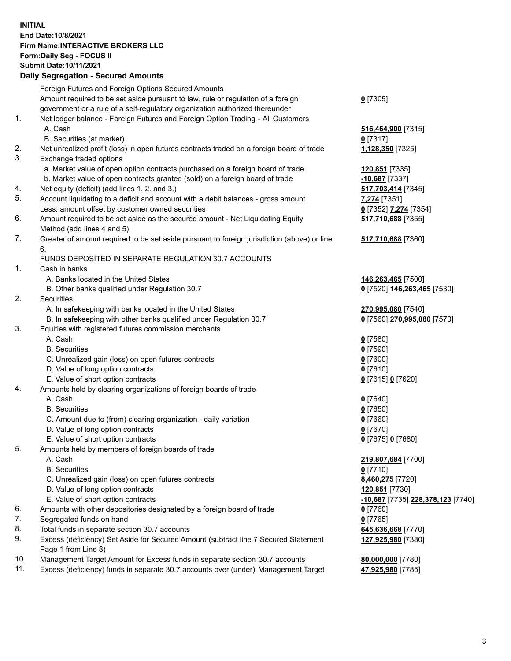**INITIAL End Date:10/8/2021 Firm Name:INTERACTIVE BROKERS LLC Form:Daily Seg - FOCUS II Submit Date:10/11/2021 Daily Segregation - Secured Amounts**

## Foreign Futures and Foreign Options Secured Amounts Amount required to be set aside pursuant to law, rule or regulation of a foreign government or a rule of a self-regulatory organization authorized thereunder **0** [7305] 1. Net ledger balance - Foreign Futures and Foreign Option Trading - All Customers A. Cash **516,464,900** [7315] B. Securities (at market) **0** [7317] 2. Net unrealized profit (loss) in open futures contracts traded on a foreign board of trade **1,128,350** [7325] 3. Exchange traded options a. Market value of open option contracts purchased on a foreign board of trade **120,851** [7335] b. Market value of open contracts granted (sold) on a foreign board of trade **-10,687** [7337] 4. Net equity (deficit) (add lines 1. 2. and 3.) **517,703,414** [7345] 5. Account liquidating to a deficit and account with a debit balances - gross amount **7,274** [7351] Less: amount offset by customer owned securities **0** [7352] **7,274** [7354] 6. Amount required to be set aside as the secured amount - Net Liquidating Equity Method (add lines 4 and 5) **517,710,688** [7355] 7. Greater of amount required to be set aside pursuant to foreign jurisdiction (above) or line 6. **517,710,688** [7360] FUNDS DEPOSITED IN SEPARATE REGULATION 30.7 ACCOUNTS 1. Cash in banks A. Banks located in the United States **146,263,465** [7500] B. Other banks qualified under Regulation 30.7 **0** [7520] **146,263,465** [7530] 2. Securities A. In safekeeping with banks located in the United States **270,995,080** [7540] B. In safekeeping with other banks qualified under Regulation 30.7 **0** [7560] **270,995,080** [7570] 3. Equities with registered futures commission merchants A. Cash **0** [7580] B. Securities **0** [7590] C. Unrealized gain (loss) on open futures contracts **0** [7600] D. Value of long option contracts **0** [7610] E. Value of short option contracts **0** [7615] **0** [7620] 4. Amounts held by clearing organizations of foreign boards of trade A. Cash **0** [7640] B. Securities **0** [7650] C. Amount due to (from) clearing organization - daily variation **0** [7660] D. Value of long option contracts **0** [7670] E. Value of short option contracts **0** [7675] **0** [7680] 5. Amounts held by members of foreign boards of trade A. Cash **219,807,684** [7700] B. Securities **0** [7710] C. Unrealized gain (loss) on open futures contracts **8,460,275** [7720] D. Value of long option contracts **120,851** [7730] E. Value of short option contracts **-10,687** [7735] **228,378,123** [7740] 6. Amounts with other depositories designated by a foreign board of trade **0** [7760] 7. Segregated funds on hand **0** [7765] 8. Total funds in separate section 30.7 accounts **645,636,668** [7770] 9. Excess (deficiency) Set Aside for Secured Amount (subtract line 7 Secured Statement Page 1 from Line 8) **127,925,980** [7380] 10. Management Target Amount for Excess funds in separate section 30.7 accounts **80,000,000** [7780] 11. Excess (deficiency) funds in separate 30.7 accounts over (under) Management Target **47,925,980** [7785]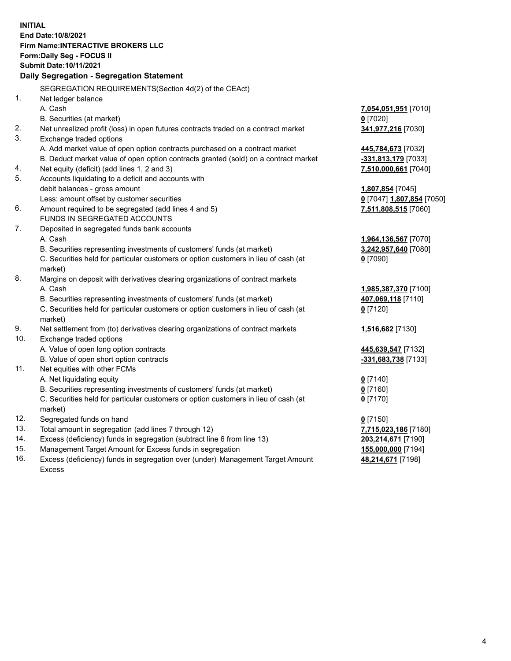**INITIAL End Date:10/8/2021 Firm Name:INTERACTIVE BROKERS LLC Form:Daily Seg - FOCUS II Submit Date:10/11/2021 Daily Segregation - Segregation Statement** SEGREGATION REQUIREMENTS(Section 4d(2) of the CEAct) 1. Net ledger balance A. Cash **7,054,051,951** [7010] B. Securities (at market) **0** [7020] 2. Net unrealized profit (loss) in open futures contracts traded on a contract market **341,977,216** [7030] 3. Exchange traded options A. Add market value of open option contracts purchased on a contract market **445,784,673** [7032] B. Deduct market value of open option contracts granted (sold) on a contract market **-331,813,179** [7033] 4. Net equity (deficit) (add lines 1, 2 and 3) **7,510,000,661** [7040] 5. Accounts liquidating to a deficit and accounts with debit balances - gross amount **1,807,854** [7045] Less: amount offset by customer securities **0** [7047] **1,807,854** [7050] 6. Amount required to be segregated (add lines 4 and 5) **7,511,808,515** [7060] FUNDS IN SEGREGATED ACCOUNTS 7. Deposited in segregated funds bank accounts A. Cash **1,964,136,567** [7070] B. Securities representing investments of customers' funds (at market) **3,242,957,640** [7080] C. Securities held for particular customers or option customers in lieu of cash (at market) **0** [7090] 8. Margins on deposit with derivatives clearing organizations of contract markets A. Cash **1,985,387,370** [7100] B. Securities representing investments of customers' funds (at market) **407,069,118** [7110] C. Securities held for particular customers or option customers in lieu of cash (at market) **0** [7120] 9. Net settlement from (to) derivatives clearing organizations of contract markets **1,516,682** [7130] 10. Exchange traded options A. Value of open long option contracts **445,639,547** [7132] B. Value of open short option contracts **-331,683,738** [7133] 11. Net equities with other FCMs A. Net liquidating equity **0** [7140] B. Securities representing investments of customers' funds (at market) **0** [7160] C. Securities held for particular customers or option customers in lieu of cash (at market) **0** [7170] 12. Segregated funds on hand **0** [7150] 13. Total amount in segregation (add lines 7 through 12) **7,715,023,186** [7180] 14. Excess (deficiency) funds in segregation (subtract line 6 from line 13) **203,214,671** [7190] 15. Management Target Amount for Excess funds in segregation **155,000,000** [7194]

16. Excess (deficiency) funds in segregation over (under) Management Target Amount Excess

**48,214,671** [7198]